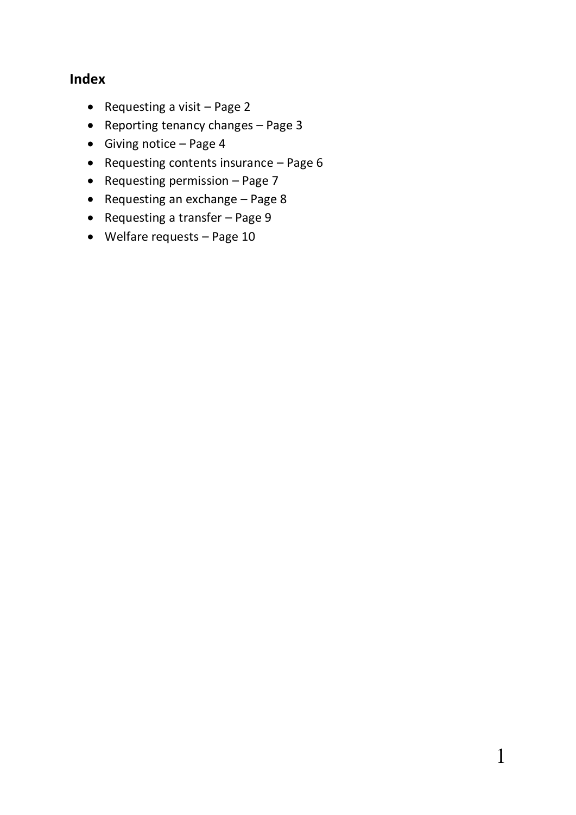# **Index**

- Requesting a visit  $-$  Page 2
- Reporting tenancy changes Page 3
- Giving notice Page 4
- Requesting contents insurance  $-$  Page 6
- Requesting permission Page 7
- Requesting an exchange Page 8
- Requesting a transfer Page 9
- Welfare requests Page 10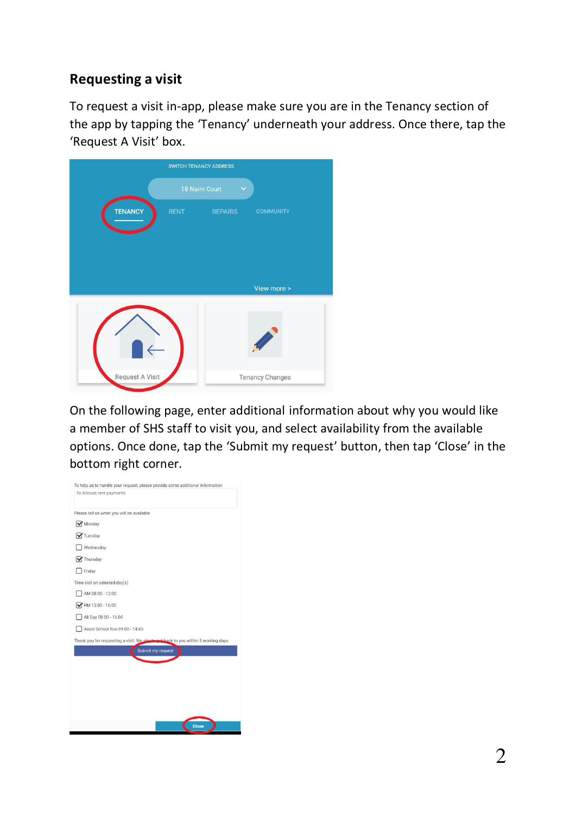# **Requesting a visit**

To request a visit in-app, please make sure you are in the Tenancy section of the app by tapping the 'Tenancy' underneath your address. Once there, tap the 'Request A Visit' box.

|                 |                                | SWITCH TENANCY ADDRESS |                        |
|-----------------|--------------------------------|------------------------|------------------------|
|                 | 18 Nairn Court<br>$\checkmark$ |                        |                        |
| <b>TENANCY</b>  | <b>RENT COMPARENT</b>          | <b>REPAIRS</b>         | <b>COMMUNITY</b>       |
|                 |                                |                        | View more >            |
|                 |                                |                        |                        |
| Request A Visit |                                |                        | <b>Tenancy Changes</b> |

On the following page, enter additional information about why you would like a member of SHS staff to visit you, and select availability from the available options. Once done, tap the 'Submit my request' button, then tap 'Close' in the bottom right corner.

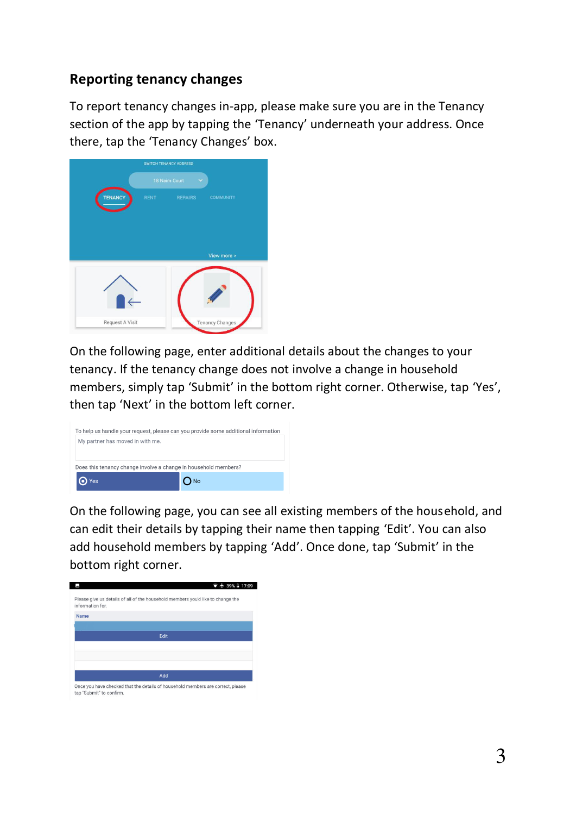### **Reporting tenancy changes**

To report tenancy changes in-app, please make sure you are in the Tenancy section of the app by tapping the 'Tenancy' underneath your address. Once there, tap the 'Tenancy Changes' box.



On the following page, enter additional details about the changes to your tenancy. If the tenancy change does not involve a change in household members, simply tap 'Submit' in the bottom right corner. Otherwise, tap 'Yes', then tap 'Next' in the bottom left corner.



On the following page, you can see all existing members of the household, and can edit their details by tapping their name then tapping 'Edit'. You can also add household members by tapping 'Add'. Once done, tap 'Submit' in the bottom right corner.

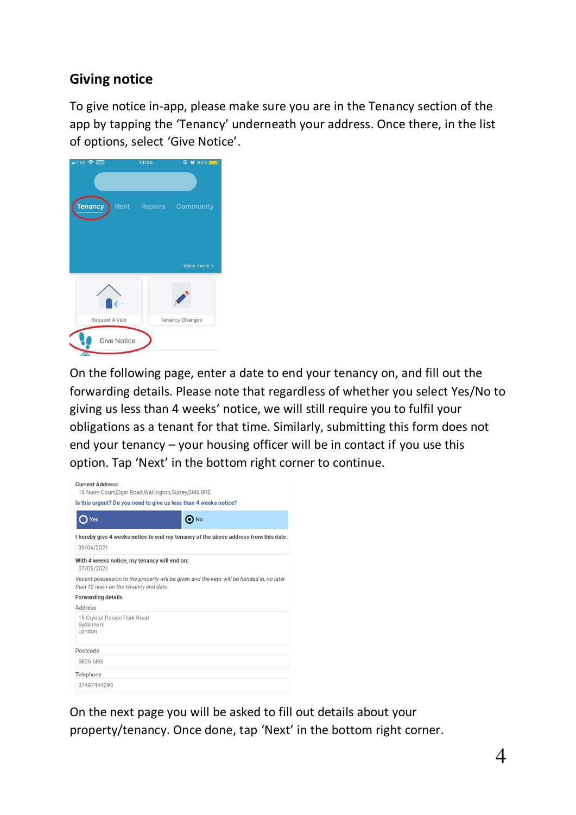# **Giving notice**

To give notice in-app, please make sure you are in the Tenancy section of the app by tapping the 'Tenancy' underneath your address. Once there, in the list of options, select 'Give Notice'.



On the following page, enter a date to end your tenancy on, and fill out the forwarding details. Please note that regardless of whether you select Yes/No to giving us less than 4 weeks' notice, we will still require you to fulfil your obligations as a tenant for that time. Similarly, submitting this form does not end your tenancy – your housing officer will be in contact if you use this option. Tap 'Next' in the bottom right corner to continue.

| <b>Current Address:</b><br>18 Nairn Court, Elgin Road, Wallington, Surrey, SM6 8RE                                               |            |  |  |  |
|----------------------------------------------------------------------------------------------------------------------------------|------------|--|--|--|
| Is this urgent? Do you need to give us less than 4 weeks notice?                                                                 |            |  |  |  |
| Yes                                                                                                                              | $\odot$ No |  |  |  |
| I hereby give 4 weeks notice to end my tenancy at the above address from this date:                                              |            |  |  |  |
| 09/04/2021                                                                                                                       |            |  |  |  |
| With 4 weeks notice, my tenancy will end on:<br>07/05/2021                                                                       |            |  |  |  |
| Vacant possession to the property will be given and the keys will be handed in, no later<br>than 12 noon on the tenancy end date |            |  |  |  |
| <b>Forwarding details</b>                                                                                                        |            |  |  |  |
| Address                                                                                                                          |            |  |  |  |
| 15 Crystal Palace Park Road<br>Svdenham<br>I ondon                                                                               |            |  |  |  |
| Postcode                                                                                                                         |            |  |  |  |
| <b>SE26 6EG</b>                                                                                                                  |            |  |  |  |
| Telephone                                                                                                                        |            |  |  |  |
| 07487444293                                                                                                                      |            |  |  |  |

On the next page you will be asked to fill out details about your property/tenancy. Once done, tap 'Next' in the bottom right corner.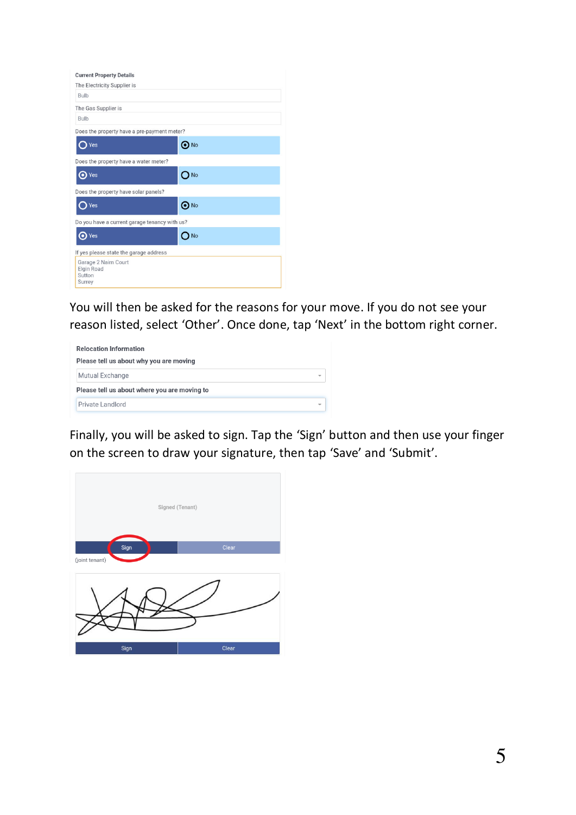| <b>Current Property Details</b>                               |            |
|---------------------------------------------------------------|------------|
| The Electricity Supplier is                                   |            |
| <b>Bulb</b>                                                   |            |
| The Gas Supplier is                                           |            |
| <b>Bulb</b>                                                   |            |
| Does the property have a pre-payment meter?                   |            |
| Yes                                                           | No         |
| Does the property have a water meter?                         |            |
| Yes                                                           | No         |
| Does the property have solar panels?                          |            |
| Yes                                                           | $\odot$ No |
| Do you have a current garage tenancy with us?                 |            |
| O Yes                                                         | <b>No</b>  |
| If yes please state the garage address                        |            |
| Garage 2 Nairn Court<br><b>Elgin Road</b><br>Sutton<br>Surrey |            |

You will then be asked for the reasons for your move. If you do not see your reason listed, select 'Other'. Once done, tap 'Next' in the bottom right corner.

| <b>Relocation Information</b><br>Please tell us about why you are moving |                          |  |  |  |
|--------------------------------------------------------------------------|--------------------------|--|--|--|
| <b>Mutual Exchange</b>                                                   | $\overline{\phantom{a}}$ |  |  |  |
| Please tell us about where you are moving to                             |                          |  |  |  |
| Private Landlord                                                         | ÷                        |  |  |  |

Finally, you will be asked to sign. Tap the 'Sign' button and then use your finger on the screen to draw your signature, then tap 'Save' and 'Submit'.

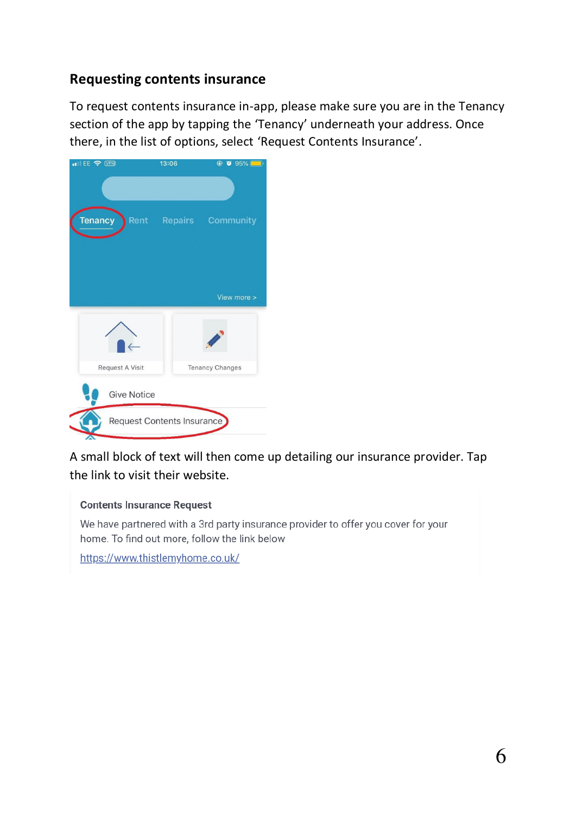# **Requesting contents insurance**

To request contents insurance in-app, please make sure you are in the Tenancy section of the app by tapping the 'Tenancy' underneath your address. Once there, in the list of options, select 'Request Contents Insurance'.



A small block of text will then come up detailing our insurance provider. Tap the link to visit their website.

#### **Contents Insurance Request**

We have partnered with a 3rd party insurance provider to offer you cover for your home. To find out more, follow the link below

https://www.thistlemyhome.co.uk/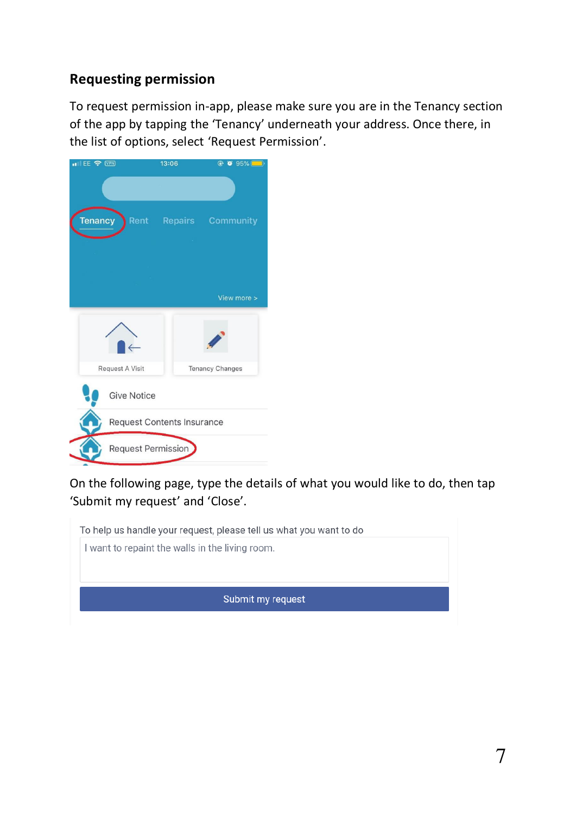# **Requesting permission**

To request permission in-app, please make sure you are in the Tenancy section of the app by tapping the 'Tenancy' underneath your address. Once there, in the list of options, select 'Request Permission'.



On the following page, type the details of what you would like to do, then tap 'Submit my request' and 'Close'.

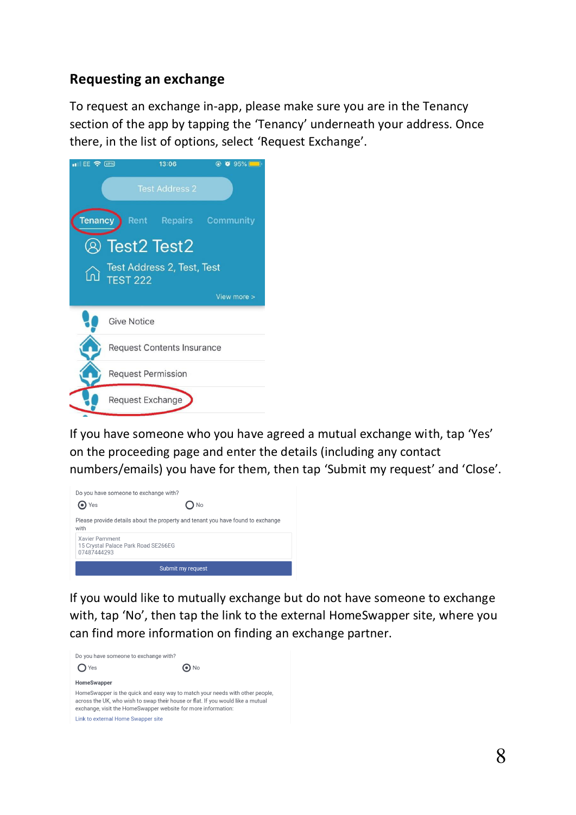### **Requesting an exchange**

To request an exchange in-app, please make sure you are in the Tenancy section of the app by tapping the 'Tenancy' underneath your address. Once there, in the list of options, select 'Request Exchange'.



If you have someone who you have agreed a mutual exchange with, tap 'Yes' on the proceeding page and enter the details (including any contact numbers/emails) you have for them, then tap 'Submit my request' and 'Close'.



If you would like to mutually exchange but do not have someone to exchange with, tap 'No', then tap the link to the external HomeSwapper site, where you can find more information on finding an exchange partner.

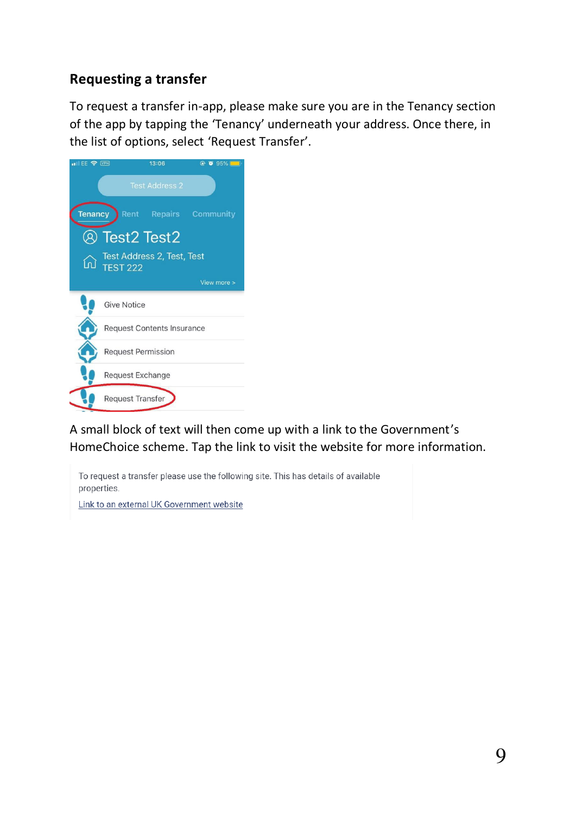# **Requesting a transfer**

To request a transfer in-app, please make sure you are in the Tenancy section of the app by tapping the 'Tenancy' underneath your address. Once there, in the list of options, select 'Request Transfer'.



A small block of text will then come up with a link to the Government's HomeChoice scheme. Tap the link to visit the website for more information.

To request a transfer please use the following site. This has details of available properties.

Link to an external UK Government website